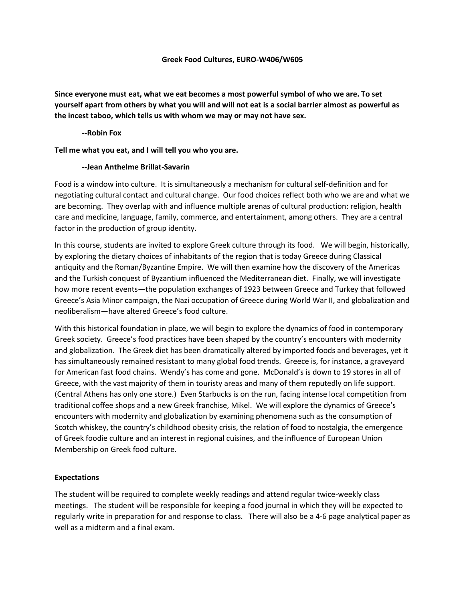### **Greek Food Cultures, EURO-W406/W605**

**Since everyone must eat, what we eat becomes a most powerful symbol of who we are. To set yourself apart from others by what you will and will not eat is a social barrier almost as powerful as the incest taboo, which tells us with whom we may or may not have sex.**

# **--Robin Fox**

**Tell me what you eat, and I will tell you who you are.**

# **--Jean Anthelme Brillat-Savarin**

Food is a window into culture. It is simultaneously a mechanism for cultural self-definition and for negotiating cultural contact and cultural change. Our food choices reflect both who we are and what we are becoming. They overlap with and influence multiple arenas of cultural production: religion, health care and medicine, language, family, commerce, and entertainment, among others. They are a central factor in the production of group identity.

In this course, students are invited to explore Greek culture through its food. We will begin, historically, by exploring the dietary choices of inhabitants of the region that is today Greece during Classical antiquity and the Roman/Byzantine Empire. We will then examine how the discovery of the Americas and the Turkish conquest of Byzantium influenced the Mediterranean diet. Finally, we will investigate how more recent events—the population exchanges of 1923 between Greece and Turkey that followed Greece's Asia Minor campaign, the Nazi occupation of Greece during World War II, and globalization and neoliberalism—have altered Greece's food culture.

With this historical foundation in place, we will begin to explore the dynamics of food in contemporary Greek society. Greece's food practices have been shaped by the country's encounters with modernity and globalization. The Greek diet has been dramatically altered by imported foods and beverages, yet it has simultaneously remained resistant to many global food trends. Greece is, for instance, a graveyard for American fast food chains. Wendy's has come and gone. McDonald's is down to 19 stores in all of Greece, with the vast majority of them in touristy areas and many of them reputedly on life support. (Central Athens has only one store.) Even Starbucks is on the run, facing intense local competition from traditional coffee shops and a new Greek franchise, Mikel. We will explore the dynamics of Greece's encounters with modernity and globalization by examining phenomena such as the consumption of Scotch whiskey, the country's childhood obesity crisis, the relation of food to nostalgia, the emergence of Greek foodie culture and an interest in regional cuisines, and the influence of European Union Membership on Greek food culture.

# **Expectations**

The student will be required to complete weekly readings and attend regular twice-weekly class meetings. The student will be responsible for keeping a food journal in which they will be expected to regularly write in preparation for and response to class. There will also be a 4-6 page analytical paper as well as a midterm and a final exam.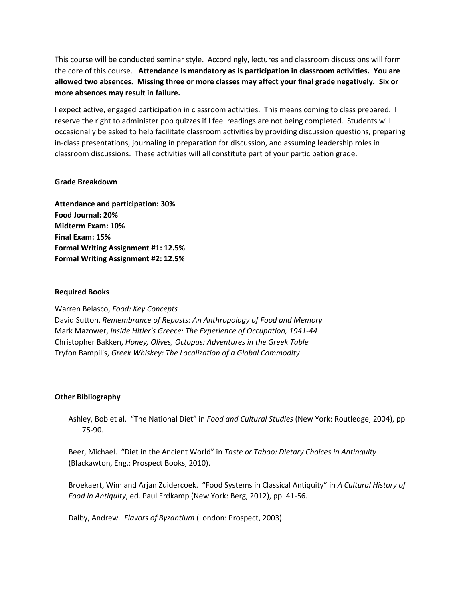This course will be conducted seminar style. Accordingly, lectures and classroom discussions will form the core of this course. **Attendance is mandatory as is participation in classroom activities. You are allowed two absences. Missing three or more classes may affect your final grade negatively. Six or more absences may result in failure.**

I expect active, engaged participation in classroom activities. This means coming to class prepared. I reserve the right to administer pop quizzes if I feel readings are not being completed. Students will occasionally be asked to help facilitate classroom activities by providing discussion questions, preparing in-class presentations, journaling in preparation for discussion, and assuming leadership roles in classroom discussions. These activities will all constitute part of your participation grade.

# **Grade Breakdown**

**Attendance and participation: 30% Food Journal: 20% Midterm Exam: 10% Final Exam: 15% Formal Writing Assignment #1: 12.5% Formal Writing Assignment #2: 12.5%**

## **Required Books**

Warren Belasco, *Food: Key Concepts*

David Sutton, *Remembrance of Repasts: An Anthropology of Food and Memory* Mark Mazower, *Inside Hitler's Greece: The Experience of Occupation, 1941-44* Christopher Bakken, *Honey, Olives, Octopus: Adventures in the Greek Table* Tryfon Bampilis, *Greek Whiskey: The Localization of a Global Commodity*

# **Other Bibliography**

Ashley, Bob et al. "The National Diet" in *Food and Cultural Studies* (New York: Routledge, 2004), pp 75-90.

Beer, Michael. "Diet in the Ancient World" in *Taste or Taboo: Dietary Choices in Antinquity* (Blackawton, Eng.: Prospect Books, 2010).

Broekaert, Wim and Arjan Zuidercoek. "Food Systems in Classical Antiquity" in *A Cultural History of Food in Antiquity*, ed. Paul Erdkamp (New York: Berg, 2012), pp. 41-56.

Dalby, Andrew. *Flavors of Byzantium* (London: Prospect, 2003).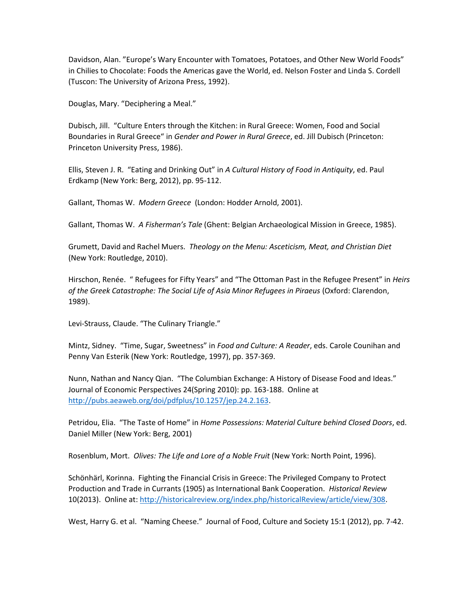Davidson, Alan. "Europe's Wary Encounter with Tomatoes, Potatoes, and Other New World Foods" in Chilies to Chocolate: Foods the Americas gave the World, ed. Nelson Foster and Linda S. Cordell (Tuscon: The University of Arizona Press, 1992).

Douglas, Mary. "Deciphering a Meal."

Dubisch, Jill. "Culture Enters through the Kitchen: in Rural Greece: Women, Food and Social Boundaries in Rural Greece" in *Gender and Power in Rural Greece*, ed. Jill Dubisch (Princeton: Princeton University Press, 1986).

Ellis, Steven J. R. "Eating and Drinking Out" in *A Cultural History of Food in Antiquity*, ed. Paul Erdkamp (New York: Berg, 2012), pp. 95-112.

Gallant, Thomas W. *Modern Greece* (London: Hodder Arnold, 2001).

Gallant, Thomas W. *A Fisherman's Tale* (Ghent: Belgian Archaeological Mission in Greece, 1985).

Grumett, David and Rachel Muers. *Theology on the Menu: Asceticism, Meat, and Christian Diet* (New York: Routledge, 2010).

Hirschon, Renée. " Refugees for Fifty Years" and "The Ottoman Past in the Refugee Present" in *Heirs of the Greek Catastrophe: The Social Life of Asia Minor Refugees in Piraeus* (Oxford: Clarendon, 1989).

Levi-Strauss, Claude. "The Culinary Triangle."

Mintz, Sidney. "Time, Sugar, Sweetness" in *Food and Culture: A Reader*, eds. Carole Counihan and Penny Van Esterik (New York: Routledge, 1997), pp. 357-369.

Nunn, Nathan and Nancy Qian. "The Columbian Exchange: A History of Disease Food and Ideas." Journal of Economic Perspectives 24(Spring 2010): pp. 163-188. Online at [http://pubs.aeaweb.org/doi/pdfplus/10.1257/jep.24.2.163.](http://pubs.aeaweb.org/doi/pdfplus/10.1257/jep.24.2.163)

Petridou, Elia. "The Taste of Home" in *Home Possessions: Material Culture behind Closed Doors*, ed. Daniel Miller (New York: Berg, 2001)

Rosenblum, Mort. *Olives: The Life and Lore of a Noble Fruit* (New York: North Point, 1996).

Schönhärl, Korinna. Fighting the Financial Crisis in Greece: The Privileged Company to Protect Production and Trade in Currants (1905) as International Bank Cooperation. *Historical Review*  10(2013). Online at: [http://historicalreview.org/index.php/historicalReview/article/view/308.](http://historicalreview.org/index.php/historicalReview/article/view/308)

West, Harry G. et al. "Naming Cheese." Journal of Food, Culture and Society 15:1 (2012), pp. 7-42.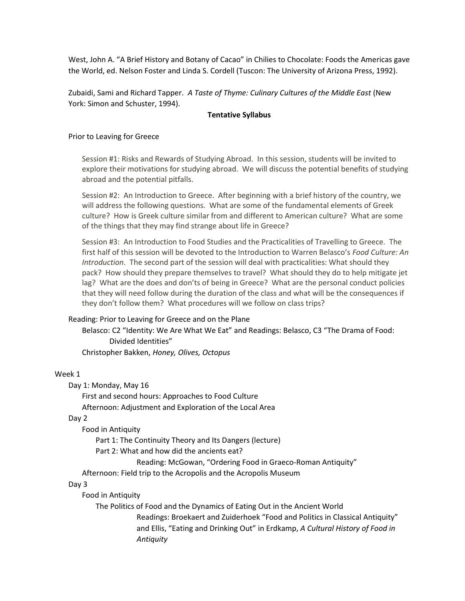West, John A. "A Brief History and Botany of Cacao" in Chilies to Chocolate: Foods the Americas gave the World, ed. Nelson Foster and Linda S. Cordell (Tuscon: The University of Arizona Press, 1992).

Zubaidi, Sami and Richard Tapper. *A Taste of Thyme: Culinary Cultures of the Middle East* (New York: Simon and Schuster, 1994).

### **Tentative Syllabus**

## Prior to Leaving for Greece

Session #1: Risks and Rewards of Studying Abroad. In this session, students will be invited to explore their motivations for studying abroad. We will discuss the potential benefits of studying abroad and the potential pitfalls.

Session #2: An Introduction to Greece. After beginning with a brief history of the country, we will address the following questions. What are some of the fundamental elements of Greek culture? How is Greek culture similar from and different to American culture? What are some of the things that they may find strange about life in Greece?

Session #3: An Introduction to Food Studies and the Practicalities of Travelling to Greece. The first half of this session will be devoted to the Introduction to Warren Belasco's *Food Culture: An Introduction*. The second part of the session will deal with practicalities: What should they pack? How should they prepare themselves to travel? What should they do to help mitigate jet lag? What are the does and don'ts of being in Greece? What are the personal conduct policies that they will need follow during the duration of the class and what will be the consequences if they don't follow them? What procedures will we follow on class trips?

Reading: Prior to Leaving for Greece and on the Plane

Belasco: C2 "Identity: We Are What We Eat" and Readings: Belasco, C3 "The Drama of Food: Divided Identities"

Christopher Bakken, *Honey, Olives, Octopus*

### Week 1

Day 1: Monday, May 16

First and second hours: Approaches to Food Culture Afternoon: Adjustment and Exploration of the Local Area

Day 2

Food in Antiquity

Part 1: The Continuity Theory and Its Dangers (lecture)

Part 2: What and how did the ancients eat?

Reading: McGowan, "Ordering Food in Graeco-Roman Antiquity"

Afternoon: Field trip to the Acropolis and the Acropolis Museum

# Day 3

Food in Antiquity

The Politics of Food and the Dynamics of Eating Out in the Ancient World

Readings: Broekaert and Zuiderhoek "Food and Politics in Classical Antiquity" and Ellis, "Eating and Drinking Out" in Erdkamp, *A Cultural History of Food in Antiquity*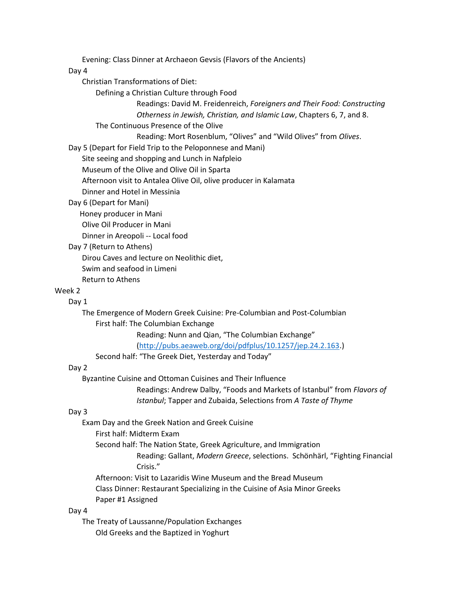Evening: Class Dinner at Archaeon Gevsis (Flavors of the Ancients)

### Day 4

Christian Transformations of Diet:

Defining a Christian Culture through Food

Readings: David M. Freidenreich, *Foreigners and Their Food: Constructing Otherness in Jewish, Christian, and Islamic Law*, Chapters 6, 7, and 8.

The Continuous Presence of the Olive

Reading: Mort Rosenblum, "Olives" and "Wild Olives" from *Olives*.

Day 5 (Depart for Field Trip to the Peloponnese and Mani)

Site seeing and shopping and Lunch in Nafpleio

Museum of the Olive and Olive Oil in Sparta

Afternoon visit to Antalea Olive Oil, olive producer in Kalamata

Dinner and Hotel in Messinia

# Day 6 (Depart for Mani)

Honey producer in Mani

Olive Oil Producer in Mani

Dinner in Areopoli -- Local food

## Day 7 (Return to Athens)

Dirou Caves and lecture on Neolithic diet,

Swim and seafood in Limeni

Return to Athens

### Week 2

#### Day 1

The Emergence of Modern Greek Cuisine: Pre-Columbian and Post-Columbian First half: The Columbian Exchange

Reading: Nunn and Qian, "The Columbian Exchange"

[\(http://pubs.aeaweb.org/doi/pdfplus/10.1257/jep.24.2.163.](http://pubs.aeaweb.org/doi/pdfplus/10.1257/jep.24.2.163))

Second half: "The Greek Diet, Yesterday and Today"

# Day 2

Byzantine Cuisine and Ottoman Cuisines and Their Influence

Readings: Andrew Dalby, "Foods and Markets of Istanbul" from *Flavors of Istanbul*; Tapper and Zubaida, Selections from *A Taste of Thyme*

#### Day 3

Exam Day and the Greek Nation and Greek Cuisine

First half: Midterm Exam

Second half: The Nation State, Greek Agriculture, and Immigration

Reading: Gallant, *Modern Greece*, selections. Schönhärl, "Fighting Financial Crisis."

Afternoon: Visit to Lazaridis Wine Museum and the Bread Museum

Class Dinner: Restaurant Specializing in the Cuisine of Asia Minor Greeks

Paper #1 Assigned

#### Day 4

The Treaty of Laussanne/Population Exchanges Old Greeks and the Baptized in Yoghurt